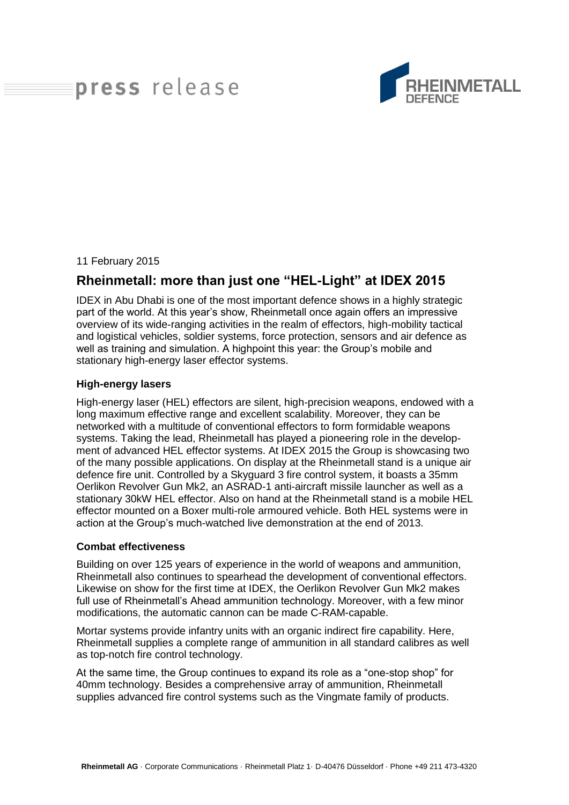# press release



#### 11 February 2015

# **Rheinmetall: more than just one "HEL-Light" at IDEX 2015**

IDEX in Abu Dhabi is one of the most important defence shows in a highly strategic part of the world. At this year's show, Rheinmetall once again offers an impressive overview of its wide-ranging activities in the realm of effectors, high-mobility tactical and logistical vehicles, soldier systems, force protection, sensors and air defence as well as training and simulation. A highpoint this year: the Group's mobile and stationary high-energy laser effector systems.

#### **High-energy lasers**

High-energy laser (HEL) effectors are silent, high-precision weapons, endowed with a long maximum effective range and excellent scalability. Moreover, they can be networked with a multitude of conventional effectors to form formidable weapons systems. Taking the lead, Rheinmetall has played a pioneering role in the development of advanced HEL effector systems. At IDEX 2015 the Group is showcasing two of the many possible applications. On display at the Rheinmetall stand is a unique air defence fire unit. Controlled by a Skyguard 3 fire control system, it boasts a 35mm Oerlikon Revolver Gun Mk2, an ASRAD-1 anti-aircraft missile launcher as well as a stationary 30kW HEL effector. Also on hand at the Rheinmetall stand is a mobile HEL effector mounted on a Boxer multi-role armoured vehicle. Both HEL systems were in action at the Group's much-watched live demonstration at the end of 2013.

#### **Combat effectiveness**

Building on over 125 years of experience in the world of weapons and ammunition, Rheinmetall also continues to spearhead the development of conventional effectors. Likewise on show for the first time at IDEX, the Oerlikon Revolver Gun Mk2 makes full use of Rheinmetall's Ahead ammunition technology. Moreover, with a few minor modifications, the automatic cannon can be made C-RAM-capable.

Mortar systems provide infantry units with an organic indirect fire capability. Here, Rheinmetall supplies a complete range of ammunition in all standard calibres as well as top-notch fire control technology.

At the same time, the Group continues to expand its role as a "one-stop shop" for 40mm technology. Besides a comprehensive array of ammunition, Rheinmetall supplies advanced fire control systems such as the Vingmate family of products.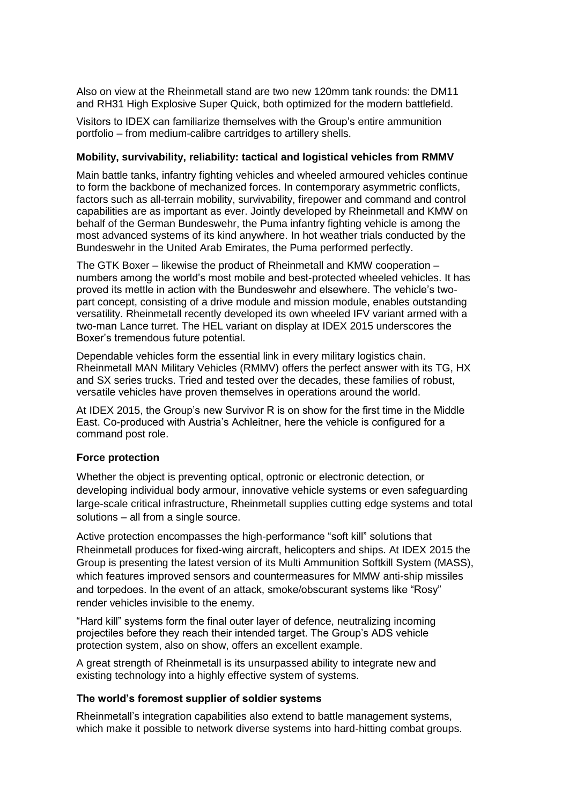Also on view at the Rheinmetall stand are two new 120mm tank rounds: the DM11 and RH31 High Explosive Super Quick, both optimized for the modern battlefield.

Visitors to IDEX can familiarize themselves with the Group's entire ammunition portfolio – from medium-calibre cartridges to artillery shells.

#### **Mobility, survivability, reliability: tactical and logistical vehicles from RMMV**

Main battle tanks, infantry fighting vehicles and wheeled armoured vehicles continue to form the backbone of mechanized forces. In contemporary asymmetric conflicts, factors such as all-terrain mobility, survivability, firepower and command and control capabilities are as important as ever. Jointly developed by Rheinmetall and KMW on behalf of the German Bundeswehr, the Puma infantry fighting vehicle is among the most advanced systems of its kind anywhere. In hot weather trials conducted by the Bundeswehr in the United Arab Emirates, the Puma performed perfectly.

The GTK Boxer – likewise the product of Rheinmetall and KMW cooperation – numbers among the world's most mobile and best-protected wheeled vehicles. It has proved its mettle in action with the Bundeswehr and elsewhere. The vehicle's twopart concept, consisting of a drive module and mission module, enables outstanding versatility. Rheinmetall recently developed its own wheeled IFV variant armed with a two-man Lance turret. The HEL variant on display at IDEX 2015 underscores the Boxer's tremendous future potential.

Dependable vehicles form the essential link in every military logistics chain. Rheinmetall MAN Military Vehicles (RMMV) offers the perfect answer with its TG, HX and SX series trucks. Tried and tested over the decades, these families of robust, versatile vehicles have proven themselves in operations around the world.

At IDEX 2015, the Group's new Survivor R is on show for the first time in the Middle East. Co-produced with Austria's Achleitner, here the vehicle is configured for a command post role.

### **Force protection**

Whether the object is preventing optical, optronic or electronic detection, or developing individual body armour, innovative vehicle systems or even safeguarding large-scale critical infrastructure, Rheinmetall supplies cutting edge systems and total solutions – all from a single source.

Active protection encompasses the high-performance "soft kill" solutions that Rheinmetall produces for fixed-wing aircraft, helicopters and ships. At IDEX 2015 the Group is presenting the latest version of its Multi Ammunition Softkill System (MASS), which features improved sensors and countermeasures for MMW anti-ship missiles and torpedoes. In the event of an attack, smoke/obscurant systems like "Rosy" render vehicles invisible to the enemy.

"Hard kill" systems form the final outer layer of defence, neutralizing incoming projectiles before they reach their intended target. The Group's ADS vehicle protection system, also on show, offers an excellent example.

A great strength of Rheinmetall is its unsurpassed ability to integrate new and existing technology into a highly effective system of systems.

### **The world's foremost supplier of soldier systems**

Rheinmetall's integration capabilities also extend to battle management systems, which make it possible to network diverse systems into hard-hitting combat groups.